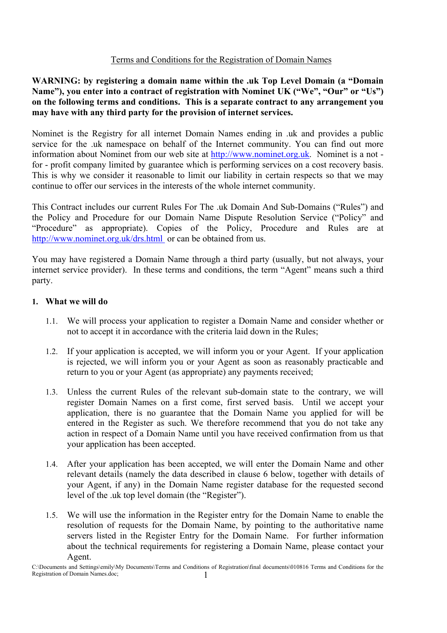## Terms and Conditions for the Registration of Domain Names

**WARNING: by registering a domain name within the .uk Top Level Domain (a "Domain Name"), you enter into a contract of registration with Nominet UK ("We", "Our" or "Us") on the following terms and conditions. This is a separate contract to any arrangement you may have with any third party for the provision of internet services.**

Nominet is the Registry for all internet Domain Names ending in .uk and provides a public service for the .uk namespace on behalf of the Internet community. You can find out more information about Nominet from our web site at http://www.nominet.org.uk. Nominet is a not for - profit company limited by guarantee which is performing services on a cost recovery basis. This is why we consider it reasonable to limit our liability in certain respects so that we may continue to offer our services in the interests of the whole internet community.

This Contract includes our current Rules For The .uk Domain And Sub-Domains ("Rules") and the Policy and Procedure for our Domain Name Dispute Resolution Service ("Policy" and "Procedure" as appropriate). Copies of the Policy, Procedure and Rules are at http://www.nominet.org.uk/drs.html or can be obtained from us.

You may have registered a Domain Name through a third party (usually, but not always, your internet service provider). In these terms and conditions, the term "Agent" means such a third party.

#### **1. What we will do**

- 1.1. We will process your application to register a Domain Name and consider whether or not to accept it in accordance with the criteria laid down in the Rules;
- 1.2. If your application is accepted, we will inform you or your Agent. If your application is rejected, we will inform you or your Agent as soon as reasonably practicable and return to you or your Agent (as appropriate) any payments received;
- 1.3. Unless the current Rules of the relevant sub-domain state to the contrary, we will register Domain Names on a first come, first served basis. Until we accept your application, there is no guarantee that the Domain Name you applied for will be entered in the Register as such. We therefore recommend that you do not take any action in respect of a Domain Name until you have received confirmation from us that your application has been accepted.
- 1.4. After your application has been accepted, we will enter the Domain Name and other relevant details (namely the data described in clause 6 below, together with details of your Agent, if any) in the Domain Name register database for the requested second level of the .uk top level domain (the "Register").
- 1.5. We will use the information in the Register entry for the Domain Name to enable the resolution of requests for the Domain Name, by pointing to the authoritative name servers listed in the Register Entry for the Domain Name. For further information about the technical requirements for registering a Domain Name, please contact your Agent.

C:\Documents and Settings\emily\My Documents\Terms and Conditions of Registration\final documents\010816 Terms and Conditions for the Registration of Domain Names.doc; 1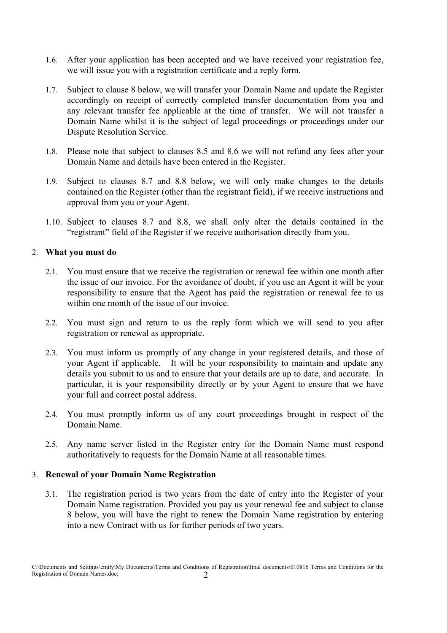- 1.6. After your application has been accepted and we have received your registration fee, we will issue you with a registration certificate and a reply form.
- 1.7. Subject to clause 8 below, we will transfer your Domain Name and update the Register accordingly on receipt of correctly completed transfer documentation from you and any relevant transfer fee applicable at the time of transfer. We will not transfer a Domain Name whilst it is the subject of legal proceedings or proceedings under our Dispute Resolution Service.
- 1.8. Please note that subject to clauses 8.5 and 8.6 we will not refund any fees after your Domain Name and details have been entered in the Register.
- 1.9. Subject to clauses 8.7 and 8.8 below, we will only make changes to the details contained on the Register (other than the registrant field), if we receive instructions and approval from you or your Agent.
- 1.10. Subject to clauses 8.7 and 8.8, we shall only alter the details contained in the "registrant" field of the Register if we receive authorisation directly from you.

#### 2. **What you must do**

- 2.1. You must ensure that we receive the registration or renewal fee within one month after the issue of our invoice. For the avoidance of doubt, if you use an Agent it will be your responsibility to ensure that the Agent has paid the registration or renewal fee to us within one month of the issue of our invoice.
- 2.2. You must sign and return to us the reply form which we will send to you after registration or renewal as appropriate.
- 2.3. You must inform us promptly of any change in your registered details, and those of your Agent if applicable. It will be your responsibility to maintain and update any details you submit to us and to ensure that your details are up to date, and accurate. In particular, it is your responsibility directly or by your Agent to ensure that we have your full and correct postal address.
- 2.4. You must promptly inform us of any court proceedings brought in respect of the Domain Name.
- 2.5. Any name server listed in the Register entry for the Domain Name must respond authoritatively to requests for the Domain Name at all reasonable times.

#### 3. **Renewal of your Domain Name Registration**

3.1. The registration period is two years from the date of entry into the Register of your Domain Name registration. Provided you pay us your renewal fee and subject to clause 8 below, you will have the right to renew the Domain Name registration by entering into a new Contract with us for further periods of two years.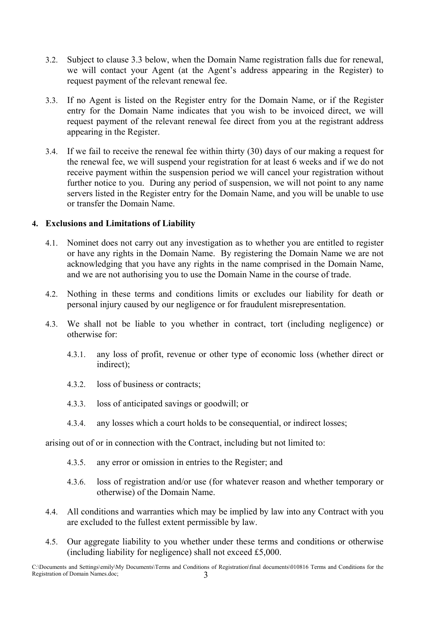- 3.2. Subject to clause 3.3 below, when the Domain Name registration falls due for renewal, we will contact your Agent (at the Agent's address appearing in the Register) to request payment of the relevant renewal fee.
- 3.3. If no Agent is listed on the Register entry for the Domain Name, or if the Register entry for the Domain Name indicates that you wish to be invoiced direct, we will request payment of the relevant renewal fee direct from you at the registrant address appearing in the Register.
- 3.4. If we fail to receive the renewal fee within thirty (30) days of our making a request for the renewal fee, we will suspend your registration for at least 6 weeks and if we do not receive payment within the suspension period we will cancel your registration without further notice to you. During any period of suspension, we will not point to any name servers listed in the Register entry for the Domain Name, and you will be unable to use or transfer the Domain Name.

#### **4. Exclusions and Limitations of Liability**

- 4.1. Nominet does not carry out any investigation as to whether you are entitled to register or have any rights in the Domain Name. By registering the Domain Name we are not acknowledging that you have any rights in the name comprised in the Domain Name, and we are not authorising you to use the Domain Name in the course of trade.
- 4.2. Nothing in these terms and conditions limits or excludes our liability for death or personal injury caused by our negligence or for fraudulent misrepresentation.
- 4.3. We shall not be liable to you whether in contract, tort (including negligence) or otherwise for:
	- 4.3.1. any loss of profit, revenue or other type of economic loss (whether direct or indirect);
	- 4.3.2. loss of business or contracts;
	- 4.3.3. loss of anticipated savings or goodwill; or
	- 4.3.4. any losses which a court holds to be consequential, or indirect losses;

arising out of or in connection with the Contract, including but not limited to:

- 4.3.5. any error or omission in entries to the Register; and
- 4.3.6. loss of registration and/or use (for whatever reason and whether temporary or otherwise) of the Domain Name.
- 4.4. All conditions and warranties which may be implied by law into any Contract with you are excluded to the fullest extent permissible by law.
- 4.5. Our aggregate liability to you whether under these terms and conditions or otherwise (including liability for negligence) shall not exceed £5,000.

C:\Documents and Settings\emily\My Documents\Terms and Conditions of Registration\final documents\010816 Terms and Conditions for the Registration of Domain Names.doc; 3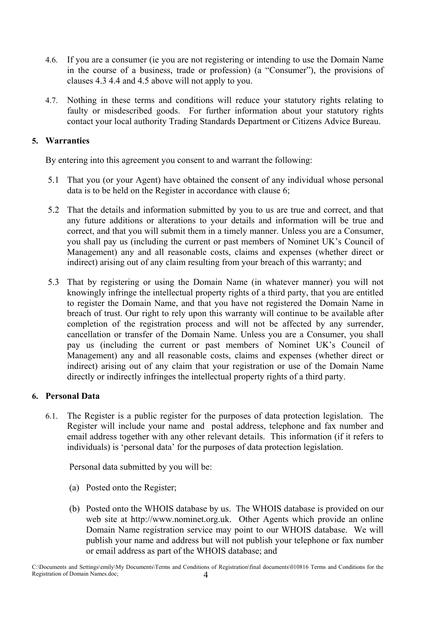- 4.6. If you are a consumer (ie you are not registering or intending to use the Domain Name in the course of a business, trade or profession) (a "Consumer"), the provisions of clauses 4.3 4.4 and 4.5 above will not apply to you.
- 4.7. Nothing in these terms and conditions will reduce your statutory rights relating to faulty or misdescribed goods. For further information about your statutory rights contact your local authority Trading Standards Department or Citizens Advice Bureau.

## **5. Warranties**

By entering into this agreement you consent to and warrant the following:

- 5.1 That you (or your Agent) have obtained the consent of any individual whose personal data is to be held on the Register in accordance with clause 6;
- 5.2 That the details and information submitted by you to us are true and correct, and that any future additions or alterations to your details and information will be true and correct, and that you will submit them in a timely manner. Unless you are a Consumer, you shall pay us (including the current or past members of Nominet UK's Council of Management) any and all reasonable costs, claims and expenses (whether direct or indirect) arising out of any claim resulting from your breach of this warranty; and
- 5.3 That by registering or using the Domain Name (in whatever manner) you will not knowingly infringe the intellectual property rights of a third party, that you are entitled to register the Domain Name, and that you have not registered the Domain Name in breach of trust. Our right to rely upon this warranty will continue to be available after completion of the registration process and will not be affected by any surrender, cancellation or transfer of the Domain Name. Unless you are a Consumer, you shall pay us (including the current or past members of Nominet UK's Council of Management) any and all reasonable costs, claims and expenses (whether direct or indirect) arising out of any claim that your registration or use of the Domain Name directly or indirectly infringes the intellectual property rights of a third party.

#### **6. Personal Data**

6.1. The Register is a public register for the purposes of data protection legislation. The Register will include your name and postal address, telephone and fax number and email address together with any other relevant details. This information (if it refers to individuals) is 'personal data' for the purposes of data protection legislation.

Personal data submitted by you will be:

- (a) Posted onto the Register;
- (b) Posted onto the WHOIS database by us. The WHOIS database is provided on our web site at http://www.nominet.org.uk. Other Agents which provide an online Domain Name registration service may point to our WHOIS database. We will publish your name and address but will not publish your telephone or fax number or email address as part of the WHOIS database; and

C:\Documents and Settings\emily\My Documents\Terms and Conditions of Registration\final documents\010816 Terms and Conditions for the Registration of Domain Names.doc; 4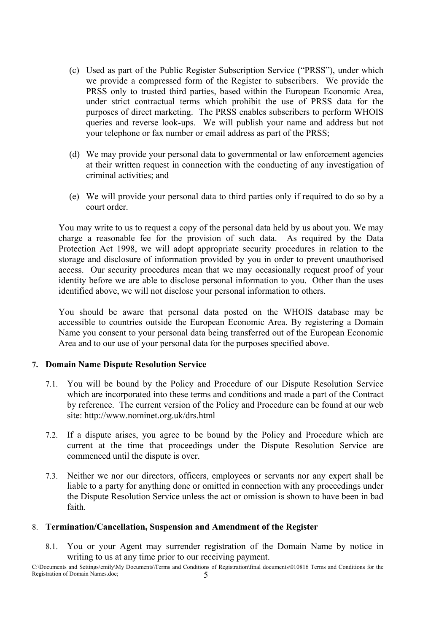- (c) Used as part of the Public Register Subscription Service ("PRSS"), under which we provide a compressed form of the Register to subscribers. We provide the PRSS only to trusted third parties, based within the European Economic Area, under strict contractual terms which prohibit the use of PRSS data for the purposes of direct marketing. The PRSS enables subscribers to perform WHOIS queries and reverse look-ups. We will publish your name and address but not your telephone or fax number or email address as part of the PRSS;
- (d) We may provide your personal data to governmental or law enforcement agencies at their written request in connection with the conducting of any investigation of criminal activities; and
- (e) We will provide your personal data to third parties only if required to do so by a court order.

You may write to us to request a copy of the personal data held by us about you. We may charge a reasonable fee for the provision of such data. As required by the Data Protection Act 1998, we will adopt appropriate security procedures in relation to the storage and disclosure of information provided by you in order to prevent unauthorised access. Our security procedures mean that we may occasionally request proof of your identity before we are able to disclose personal information to you. Other than the uses identified above, we will not disclose your personal information to others.

You should be aware that personal data posted on the WHOIS database may be accessible to countries outside the European Economic Area. By registering a Domain Name you consent to your personal data being transferred out of the European Economic Area and to our use of your personal data for the purposes specified above.

#### **7. Domain Name Dispute Resolution Service**

- 7.1. You will be bound by the Policy and Procedure of our Dispute Resolution Service which are incorporated into these terms and conditions and made a part of the Contract by reference. The current version of the Policy and Procedure can be found at our web site: http://www.nominet.org.uk/drs.html
- 7.2. If a dispute arises, you agree to be bound by the Policy and Procedure which are current at the time that proceedings under the Dispute Resolution Service are commenced until the dispute is over.
- 7.3. Neither we nor our directors, officers, employees or servants nor any expert shall be liable to a party for anything done or omitted in connection with any proceedings under the Dispute Resolution Service unless the act or omission is shown to have been in bad faith.

#### 8. **Termination/Cancellation, Suspension and Amendment of the Register**

8.1. You or your Agent may surrender registration of the Domain Name by notice in writing to us at any time prior to our receiving payment.

C:\Documents and Settings\emily\My Documents\Terms and Conditions of Registration\final documents\010816 Terms and Conditions for the Registration of Domain Names.doc; 5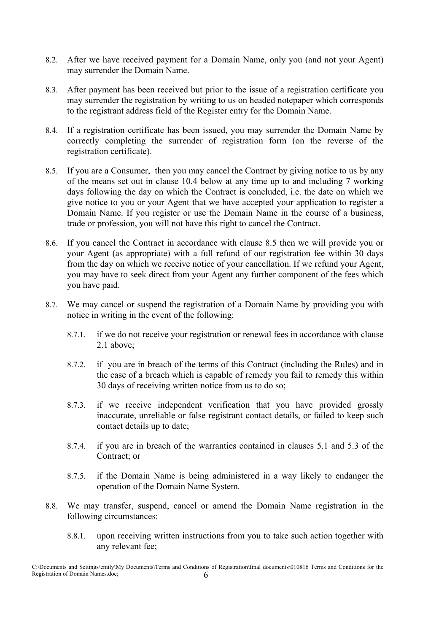- 8.2. After we have received payment for a Domain Name, only you (and not your Agent) may surrender the Domain Name.
- 8.3. After payment has been received but prior to the issue of a registration certificate you may surrender the registration by writing to us on headed notepaper which corresponds to the registrant address field of the Register entry for the Domain Name.
- 8.4. If a registration certificate has been issued, you may surrender the Domain Name by correctly completing the surrender of registration form (on the reverse of the registration certificate).
- 8.5. If you are a Consumer, then you may cancel the Contract by giving notice to us by any of the means set out in clause 10.4 below at any time up to and including 7 working days following the day on which the Contract is concluded, i.e. the date on which we give notice to you or your Agent that we have accepted your application to register a Domain Name. If you register or use the Domain Name in the course of a business, trade or profession, you will not have this right to cancel the Contract.
- 8.6. If you cancel the Contract in accordance with clause 8.5 then we will provide you or your Agent (as appropriate) with a full refund of our registration fee within 30 days from the day on which we receive notice of your cancellation. If we refund your Agent, you may have to seek direct from your Agent any further component of the fees which you have paid.
- 8.7. We may cancel or suspend the registration of a Domain Name by providing you with notice in writing in the event of the following:
	- 8.7.1. if we do not receive your registration or renewal fees in accordance with clause 2.1 above;
	- 8.7.2. if you are in breach of the terms of this Contract (including the Rules) and in the case of a breach which is capable of remedy you fail to remedy this within 30 days of receiving written notice from us to do so;
	- 8.7.3. if we receive independent verification that you have provided grossly inaccurate, unreliable or false registrant contact details, or failed to keep such contact details up to date;
	- 8.7.4. if you are in breach of the warranties contained in clauses 5.1 and 5.3 of the Contract; or
	- 8.7.5. if the Domain Name is being administered in a way likely to endanger the operation of the Domain Name System.
- 8.8. We may transfer, suspend, cancel or amend the Domain Name registration in the following circumstances:
	- 8.8.1. upon receiving written instructions from you to take such action together with any relevant fee;

C:\Documents and Settings\emily\My Documents\Terms and Conditions of Registration\final documents\010816 Terms and Conditions for the Registration of Domain Names.doc;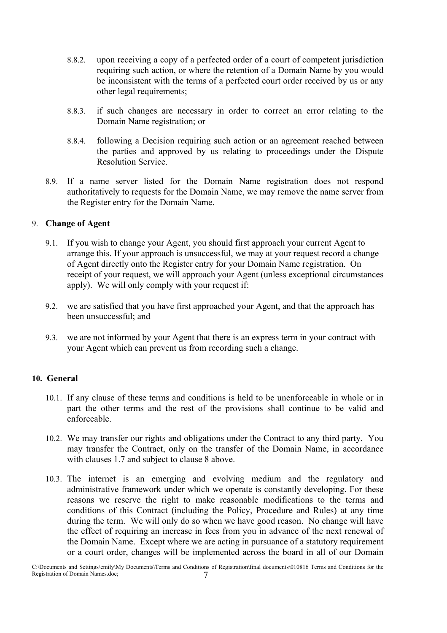- 8.8.2. upon receiving a copy of a perfected order of a court of competent jurisdiction requiring such action, or where the retention of a Domain Name by you would be inconsistent with the terms of a perfected court order received by us or any other legal requirements;
- 8.8.3. if such changes are necessary in order to correct an error relating to the Domain Name registration; or
- 8.8.4. following a Decision requiring such action or an agreement reached between the parties and approved by us relating to proceedings under the Dispute Resolution Service.
- 8.9. If a name server listed for the Domain Name registration does not respond authoritatively to requests for the Domain Name, we may remove the name server from the Register entry for the Domain Name.

## 9. **Change of Agent**

- 9.1. If you wish to change your Agent, you should first approach your current Agent to arrange this. If your approach is unsuccessful, we may at your request record a change of Agent directly onto the Register entry for your Domain Name registration. On receipt of your request, we will approach your Agent (unless exceptional circumstances apply). We will only comply with your request if:
- 9.2. we are satisfied that you have first approached your Agent, and that the approach has been unsuccessful; and
- 9.3. we are not informed by your Agent that there is an express term in your contract with your Agent which can prevent us from recording such a change.

# **10. General**

- 10.1. If any clause of these terms and conditions is held to be unenforceable in whole or in part the other terms and the rest of the provisions shall continue to be valid and enforceable.
- 10.2. We may transfer our rights and obligations under the Contract to any third party. You may transfer the Contract, only on the transfer of the Domain Name, in accordance with clauses 1.7 and subject to clause 8 above.
- 10.3. The internet is an emerging and evolving medium and the regulatory and administrative framework under which we operate is constantly developing. For these reasons we reserve the right to make reasonable modifications to the terms and conditions of this Contract (including the Policy, Procedure and Rules) at any time during the term. We will only do so when we have good reason. No change will have the effect of requiring an increase in fees from you in advance of the next renewal of the Domain Name. Except where we are acting in pursuance of a statutory requirement or a court order, changes will be implemented across the board in all of our Domain

C:\Documents and Settings\emily\My Documents\Terms and Conditions of Registration\final documents\010816 Terms and Conditions for the Registration of Domain Names.doc; 7